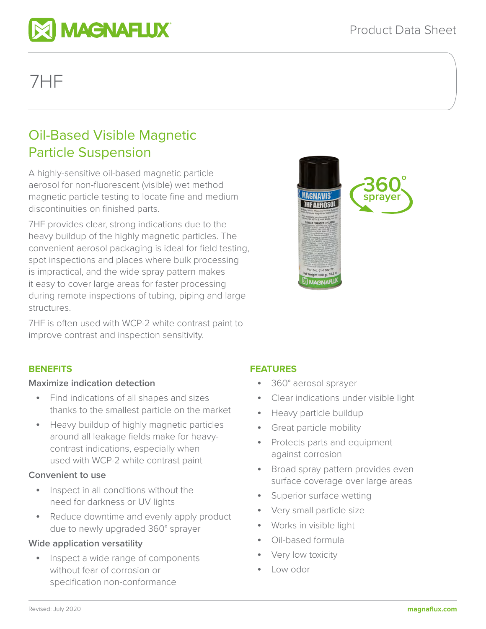

# 7HF

# Oil-Based Visible Magnetic Particle Suspension

A highly-sensitive oil-based magnetic particle aerosol for non-fluorescent (visible) wet method magnetic particle testing to locate fine and medium discontinuities on finished parts.

7HF provides clear, strong indications due to the heavy buildup of the highly magnetic particles. The convenient aerosol packaging is ideal for field testing, spot inspections and places where bulk processing is impractical, and the wide spray pattern makes it easy to cover large areas for faster processing during remote inspections of tubing, piping and large structures.

7HF is often used with WCP-2 white contrast paint to improve contrast and inspection sensitivity.



# **BENEFITS**

#### **Maximize indication detection**

- Find indications of all shapes and sizes thanks to the smallest particle on the market
- Heavy buildup of highly magnetic particles around all leakage fields make for heavycontrast indications, especially when used with WCP-2 white contrast paint

#### **Convenient to use**

- Inspect in all conditions without the need for darkness or UV lights
- Reduce downtime and evenly apply product due to newly upgraded 360° sprayer

### **Wide application versatility**

• Inspect a wide range of components without fear of corrosion or specification non-conformance

# **FEATURES**

- 360° aerosol sprayer
- Clear indications under visible light
- Heavy particle buildup
- Great particle mobility
- Protects parts and equipment against corrosion
- Broad spray pattern provides even surface coverage over large areas
- Superior surface wetting
- Very small particle size
- Works in visible light
- Oil-based formula
- Very low toxicity
- Low odor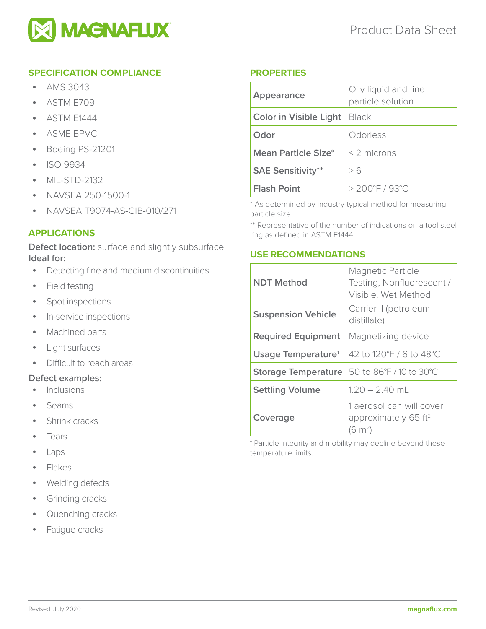

## **SPECIFICATION COMPLIANCE**

- AMS 3043
- ASTM E709
- ASTM E1444
- ASME BPVC
- Boeing PS-21201
- ISO 9934
- MIL-STD-2132
- NAVSEA 250-1500-1
- NAVSEA T9074-AS-GIB-010/271

#### **APPLICATIONS**

**Defect location:** surface and slightly subsurface **Ideal for:** 

- Detecting fine and medium discontinuities
- Field testing
- Spot inspections
- In-service inspections
- Machined parts
- Light surfaces
- Difficult to reach areas

#### **Defect examples:**

- Inclusions
- Seams
- Shrink cracks
- Tears
- Laps
- Flakes
- Welding defects
- Grinding cracks
- Quenching cracks
- Fatique cracks

#### **PROPERTIES**

| Appearance                    | Oily liquid and fine<br>particle solution |
|-------------------------------|-------------------------------------------|
| <b>Color in Visible Light</b> | Black                                     |
| Odor                          | Odorless                                  |
| Mean Particle Size*           | $<$ 2 microns                             |
| <b>SAE Sensitivity**</b>      | > 6                                       |
| <b>Flash Point</b>            | $> 200^{\circ}$ F / 93°C                  |

\* As determined by industry-typical method for measuring particle size

\*\* Representative of the number of indications on a tool steel ring as defined in ASTM E1444.

#### **USE RECOMMENDATIONS**

| <b>NDT Method</b>              | <b>Magnetic Particle</b><br>Testing, Nonfluorescent /<br>Visible, Wet Method          |
|--------------------------------|---------------------------------------------------------------------------------------|
| <b>Suspension Vehicle</b>      | Carrier II (petroleum<br>distillate)                                                  |
| <b>Required Equipment</b>      | Magnetizing device                                                                    |
| Usage Temperature <sup>+</sup> | 42 to 120°F / 6 to 48°C                                                               |
| <b>Storage Temperature</b>     | 50 to 86°F / 10 to 30°C                                                               |
| <b>Settling Volume</b>         | $1.20 - 2.40$ mL                                                                      |
| Coverage                       | 1 aerosol can will cover<br>approximately 65 ft <sup>2</sup><br>$(6 \; \mathrm{m}^2)$ |

† Particle integrity and mobility may decline beyond these temperature limits.